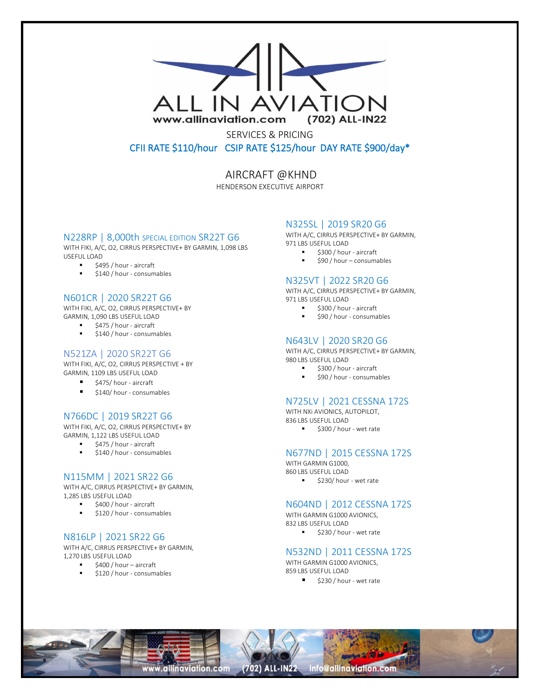

SERVICES & PRICING CFII RATE \$110/hour CSIP RATE \$125/hour DAY RATE \$900/day\*

AIRCRAFT @KHND

HENDERSON EXECUTIVE AIRPORT

# N228RP | 8,000th SPECIAL EDITION SR22T G6

WITH FIKI, A/C, O2, CIRRUS PERSPECTIVE+ BY GARMIN, 1,098 LBS USEFUL LOAD

- \$495 / hour aircraft
- \$140 / hour consumables

# N601CR | 2020 SR22T G6

WITH FIKI, A/C, O2, CIRRUS PERSPECTIVE+ BY GARMIN, 1,090 LBS USEFUL LOAD

- \$475 / hour aircraft
- \$140 / hour consumables

#### N521ZA | 2020 SR22T G6

WITH FIKI, A/C, O2, CIRRUS PERSPECTIVE + BY GARMIN, 1109 LBS USEFUL LOAD

- \$475/ hour aircraft
- \$140/ hour consumables

# N766DC | 2019 SR22T G6

WITH FIKI, A/C, O2, CIRRUS PERSPECTIVE+ BY GARMIN, 1,122 LBS USEFUL LOAD

■ \$475 / hour - aircraft

\$140 / hour - consumables

## N115MM | 2021 SR22 G6

WITH A/C, CIRRUS PERSPECTIVE+ BY GARMIN, 1,285 LBS USEFUL LOAD

- \$400 / hour aircraft
- \$120 / hour consumables

## N816LP | 2021 SR22 G6

WITH A/C, CIRRUS PERSPECTIVE+ BY GARMIN, 1,270 LBS USEFUL LOAD

- \$400 / hour aircraft
- \$120 / hour consumables

## N325SL | 2019 SR20 G6

WITH A/C, CIRRUS PERSPECTIVE+ BY GARMIN, 971 LBS USEFUL LOAD

- \$300 / hour aircraft
- \$90 / hour consumables

#### N325VT | 2022 SR20 G6

WITH A/C, CIRRUS PERSPECTIVE+ BY GARMIN, 971 LBS USEFUL LOAD

- \$300 / hour aircraft
- \$90 / hour consumables

#### N643LV | 2020 SR20 G6

WITH A/C, CIRRUS PERSPECTIVE+ BY GARMIN, 980 LBS USEFUL LOAD

- \$300 / hour aircraft
- \$90 / hour consumables

#### N725LV | 2021 CESSNA 172S

WITH NXi AVIONICS, AUTOPILOT, 836 LBS USEFUL LOAD ■ \$300 / hour - wet rate

# N677ND | 2015 CESSNA 172S

WITH GARMIN G1000, 860 LBS USEFUL LOAD ■ \$230/ hour - wet rate

# N604ND | 2012 CESSNA 172S

WITH GARMIN G1000 AVIONICS, 832 LBS USEFUL LOAD ■ \$230 / hour - wet rate

#### N532ND | 2011 CESSNA 172S

WITH GARMIN G1000 AVIONICS. 859 LBS USEFUL LOAD ■ \$230 / hour - wet rate